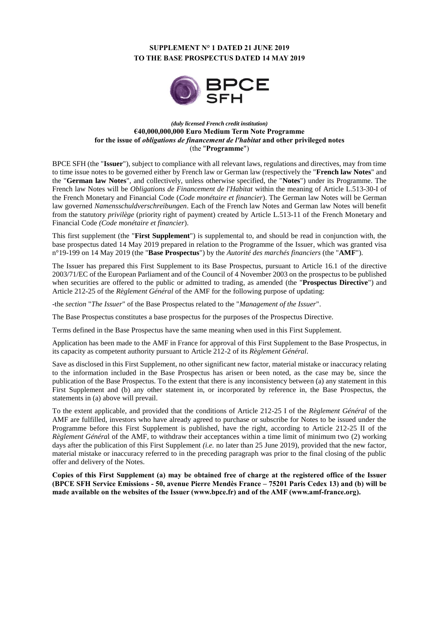# **SUPPLEMENT N° 1 DATED 21 JUNE 2019 TO THE BASE PROSPECTUS DATED 14 MAY 2019**



### *(duly licensed French credit institution)* **€40,000,000,000 Euro Medium Term Note Programme for the issue of** *obligations de financement de l'habitat* **and other privileged notes** (the "**Programme**")

BPCE SFH (the "**Issuer**"), subject to compliance with all relevant laws, regulations and directives, may from time to time issue notes to be governed either by French law or German law (respectively the "**French law Notes**" and the "**German law Notes**", and collectively, unless otherwise specified, the "**Notes**") under its Programme. The French law Notes will be *Obligations de Financement de l'Habitat* within the meaning of Article L.513-30-I of the French Monetary and Financial Code (*Code monétaire et financier*). The German law Notes will be German law governed *Namensschuldverschreibungen*. Each of the French law Notes and German law Notes will benefit from the statutory *privilège* (priority right of payment) created by Article L.513-11 of the French Monetary and Financial Code *(Code monétaire et financier*).

This first supplement (the "**First Supplement**") is supplemental to, and should be read in conjunction with, the base prospectus dated 14 May 2019 prepared in relation to the Programme of the Issuer, which was granted visa n°19-199 on 14 May 2019 (the "**Base Prospectus**") by the *Autorité des marchés financiers* (the "**AMF**").

The Issuer has prepared this First Supplement to its Base Prospectus, pursuant to Article 16.1 of the directive 2003/71/EC of the European Parliament and of the Council of 4 November 2003 on the prospectus to be published when securities are offered to the public or admitted to trading, as amended (the "**Prospectus Directive**") and Article 212-25 of the *Règlement Général* of the AMF for the following purpose of updating:

-the *section* "*The Issuer*" of the Base Prospectus related to the "*Management of the Issuer*".

The Base Prospectus constitutes a base prospectus for the purposes of the Prospectus Directive.

Terms defined in the Base Prospectus have the same meaning when used in this First Supplement.

Application has been made to the AMF in France for approval of this First Supplement to the Base Prospectus, in its capacity as competent authority pursuant to Article 212-2 of its *Règlement Général*.

Save as disclosed in this First Supplement, no other significant new factor, material mistake or inaccuracy relating to the information included in the Base Prospectus has arisen or been noted, as the case may be, since the publication of the Base Prospectus. To the extent that there is any inconsistency between (a) any statement in this First Supplement and (b) any other statement in, or incorporated by reference in, the Base Prospectus, the statements in (a) above will prevail.

To the extent applicable, and provided that the conditions of Article 212-25 I of the *Règlement Général* of the AMF are fulfilled, investors who have already agreed to purchase or subscribe for Notes to be issued under the Programme before this First Supplement is published, have the right, according to Article 212-25 II of the *Règlement Généra*l of the AMF, to withdraw their acceptances within a time limit of minimum two (2) working days after the publication of this First Supplement *(i.e.* no later than 25 June 2019), provided that the new factor, material mistake or inaccuracy referred to in the preceding paragraph was prior to the final closing of the public offer and delivery of the Notes.

**Copies of this First Supplement (a) may be obtained free of charge at the registered office of the Issuer (BPCE SFH Service Emissions - 50, avenue Pierre Mendès France – 75201 Paris Cedex 13) and (b) will be made available on the websites of the Issuer [\(www.bpce.fr\)](http://www.bpce.fr/) and of the AMF [\(www.amf-france.org\)](http://www.amf-france.org/).**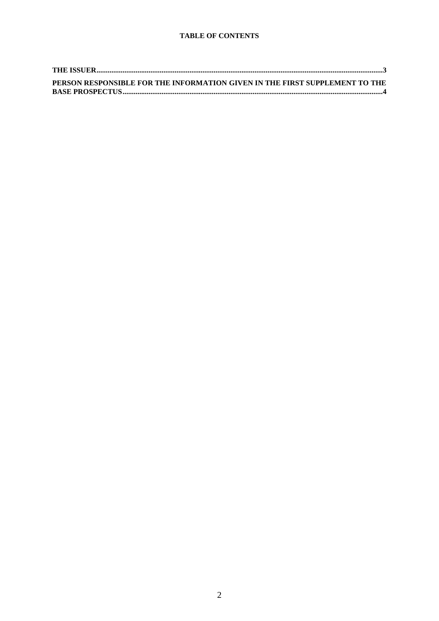| PERSON RESPONSIBLE FOR THE INFORMATION GIVEN IN THE FIRST SUPPLEMENT TO THE |
|-----------------------------------------------------------------------------|
|                                                                             |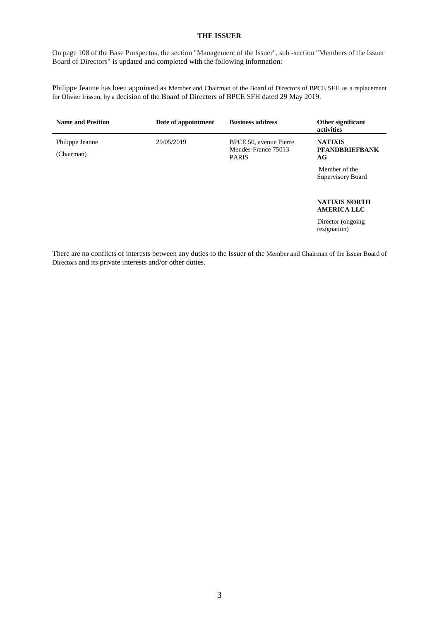### **THE ISSUER**

<span id="page-2-0"></span>On page 108 of the Base Prospectus, the section "Management of the Issuer", sub -section "Members of the Issuer Board of Directors" is updated and completed with the following information:

Philippe Jeanne has been appointed as Member and Chairman of the Board of Directors of BPCE SFH as a replacement for Olivier Irisson, by a decision of the Board of Directors of BPCE SFH dated 29 May 2019.

| <b>Name and Position</b>      | Date of appointment | <b>Business address</b>                                       | Other significant<br>activities               |
|-------------------------------|---------------------|---------------------------------------------------------------|-----------------------------------------------|
| Philippe Jeanne<br>(Chairman) | 29/05/2019          | BPCE 50, avenue Pierre<br>Mendès-France 75013<br><b>PARIS</b> | <b>NATIXIS</b><br><b>PFANDBRIEFBANK</b><br>AG |
|                               |                     |                                                               | Member of the<br>Supervisory Board            |
|                               |                     |                                                               | <b>NATIXIS NORTH</b><br><b>AMERICA LLC</b>    |
|                               |                     |                                                               | Director (ongoing)<br>resignation)            |

There are no conflicts of interests between any duties to the Issuer of the Member and Chairman of the Issuer Board of Directors and its private interests and/or other duties.